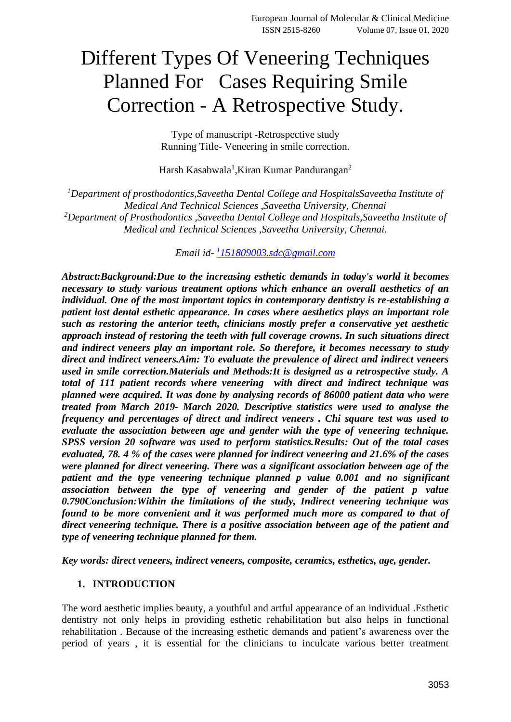# Different Types Of Veneering Techniques Planned For Cases Requiring Smile Correction - A Retrospective Study.

Type of manuscript -Retrospective study Running Title- Veneering in smile correction.

Harsh Kasabwala<sup>1</sup>, Kiran Kumar Pandurangan<sup>2</sup>

*<sup>1</sup>Department of prosthodontics,Saveetha Dental College and HospitalsSaveetha Institute of Medical And Technical Sciences ,Saveetha University, Chennai <sup>2</sup>Department of Prosthodontics ,Saveetha Dental College and Hospitals,Saveetha Institute of Medical and Technical Sciences ,Saveetha University, Chennai.*

*Email id-1 [151809003.sdc@gmail.com](mailto:1151809003.sdc@gmail.com)*

*Abstract:Background:Due to the increasing esthetic demands in today's world it becomes necessary to study various treatment options which enhance an overall aesthetics of an individual. One of the most important topics in contemporary dentistry is re-establishing a patient lost dental esthetic appearance. In cases where aesthetics plays an important role such as restoring the anterior teeth, clinicians mostly prefer a conservative yet aesthetic approach instead of restoring the teeth with full coverage crowns. In such situations direct and indirect veneers play an important role. So therefore, it becomes necessary to study direct and indirect veneers.Aim: To evaluate the prevalence of direct and indirect veneers used in smile correction.Materials and Methods:It is designed as a retrospective study. A total of 111 patient records where veneering with direct and indirect technique was planned were acquired. It was done by analysing records of 86000 patient data who were treated from March 2019- March 2020. Descriptive statistics were used to analyse the frequency and percentages of direct and indirect veneers . Chi square test was used to evaluate the association between age and gender with the type of veneering technique. SPSS version 20 software was used to perform statistics.Results: Out of the total cases evaluated, 78. 4 % of the cases were planned for indirect veneering and 21.6% of the cases were planned for direct veneering. There was a significant association between age of the patient and the type veneering technique planned p value 0.001 and no significant association between the type of veneering and gender of the patient p value 0.790Conclusion:Within the limitations of the study, Indirect veneering technique was found to be more convenient and it was performed much more as compared to that of direct veneering technique. There is a positive association between age of the patient and type of veneering technique planned for them.*

*Key words: direct veneers, indirect veneers, composite, ceramics, esthetics, age, gender.*

#### **1. INTRODUCTION**

The word aesthetic implies beauty, a youthful and artful appearance of an individual .Esthetic dentistry not only helps in providing esthetic rehabilitation but also helps in functional rehabilitation . Because of the increasing esthetic demands and patient's awareness over the period of years , it is essential for the clinicians to inculcate various better treatment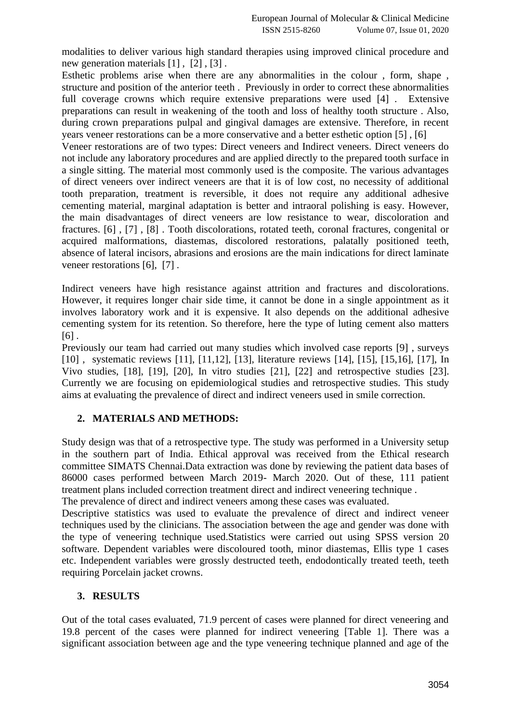modalities to deliver various high standard therapies using improved clinical procedure and new generation materials [\[1\]](https://paperpile.com/c/D4z0yp/m218), [\[2\]](https://paperpile.com/c/D4z0yp/RNRT), [\[3\]](https://paperpile.com/c/D4z0yp/mC7w).

Esthetic problems arise when there are any abnormalities in the colour , form, shape , structure and position of the anterior teeth . Previously in order to correct these abnormalities full coverage crowns which require extensive preparations were used [\[4\]](https://paperpile.com/c/D4z0yp/DhB4) . Extensive preparations can result in weakening of the tooth and loss of healthy tooth structure . Also, during crown preparations pulpal and gingival damages are extensive. Therefore, in recent years veneer restorations can be a more conservative and a better esthetic option [\[5\]](https://paperpile.com/c/D4z0yp/8Gvc) , [\[6\]](https://paperpile.com/c/D4z0yp/RW0t)

Veneer restorations are of two types: Direct veneers and Indirect veneers. Direct veneers do not include any laboratory procedures and are applied directly to the prepared tooth surface in a single sitting. The material most commonly used is the composite. The various advantages of direct veneers over indirect veneers are that it is of low cost, no necessity of additional tooth preparation, treatment is reversible, it does not require any additional adhesive cementing material, marginal adaptation is better and intraoral polishing is easy. However, the main disadvantages of direct veneers are low resistance to wear, discoloration and fractures. [\[6\]](https://paperpile.com/c/D4z0yp/RW0t) , [\[7\]](https://paperpile.com/c/D4z0yp/OwIj) , [\[8\]](https://paperpile.com/c/D4z0yp/XKQs) . Tooth discolorations, rotated teeth, coronal fractures, congenital or acquired malformations, diastemas, discolored restorations, palatally positioned teeth, absence of lateral incisors, abrasions and erosions are the main indications for direct laminate veneer restorations [\[6\],](https://paperpile.com/c/D4z0yp/RW0t) [\[7\]](https://paperpile.com/c/D4z0yp/OwIj) .

Indirect veneers have high resistance against attrition and fractures and discolorations. However, it requires longer chair side time, it cannot be done in a single appointment as it involves laboratory work and it is expensive. It also depends on the additional adhesive cementing system for its retention. So therefore, here the type of luting cement also matters  $[6]$ .

Previously our team had carried out many studies which involved case reports [\[9\]](https://paperpile.com/c/D4z0yp/Cqe5R) , surveys [\[10\]](https://paperpile.com/c/D4z0yp/b8pfW) , systematic reviews [\[11\],](https://paperpile.com/c/D4z0yp/un2jy) [\[11,12\],](https://paperpile.com/c/D4z0yp/un2jy+7v9XT) [\[13\],](https://paperpile.com/c/D4z0yp/NDI68) literature reviews [\[14\],](https://paperpile.com/c/D4z0yp/T6Zlx) [\[15\],](https://paperpile.com/c/D4z0yp/XLsBe) [\[15,16\],](https://paperpile.com/c/D4z0yp/XLsBe+LOcZf) [\[17\],](https://paperpile.com/c/D4z0yp/BM0io) In Vivo studies, [\[18\],](https://paperpile.com/c/D4z0yp/MpU3E) [\[19\],](https://paperpile.com/c/D4z0yp/eyZTn) [\[20\],](https://paperpile.com/c/D4z0yp/OHerd) In vitro studies [\[21\],](https://paperpile.com/c/D4z0yp/3FRxk) [\[22\]](https://paperpile.com/c/D4z0yp/IxDT) and retrospective studies [\[23\].](https://paperpile.com/c/D4z0yp/a9AIj) Currently we are focusing on epidemiological studies and retrospective studies. This study aims at evaluating the prevalence of direct and indirect veneers used in smile correction.

# **2. MATERIALS AND METHODS:**

Study design was that of a retrospective type. The study was performed in a University setup in the southern part of India. Ethical approval was received from the Ethical research committee SIMATS Chennai.Data extraction was done by reviewing the patient data bases of 86000 cases performed between March 2019- March 2020. Out of these, 111 patient treatment plans included correction treatment direct and indirect veneering technique . The prevalence of direct and indirect veneers among these cases was evaluated.

Descriptive statistics was used to evaluate the prevalence of direct and indirect veneer techniques used by the clinicians. The association between the age and gender was done with the type of veneering technique used.Statistics were carried out using SPSS version 20 software. Dependent variables were discoloured tooth, minor diastemas, Ellis type 1 cases etc. Independent variables were grossly destructed teeth, endodontically treated teeth, teeth requiring Porcelain jacket crowns.

## **3. RESULTS**

Out of the total cases evaluated, 71.9 percent of cases were planned for direct veneering and 19.8 percent of the cases were planned for indirect veneering [Table 1]. There was a significant association between age and the type veneering technique planned and age of the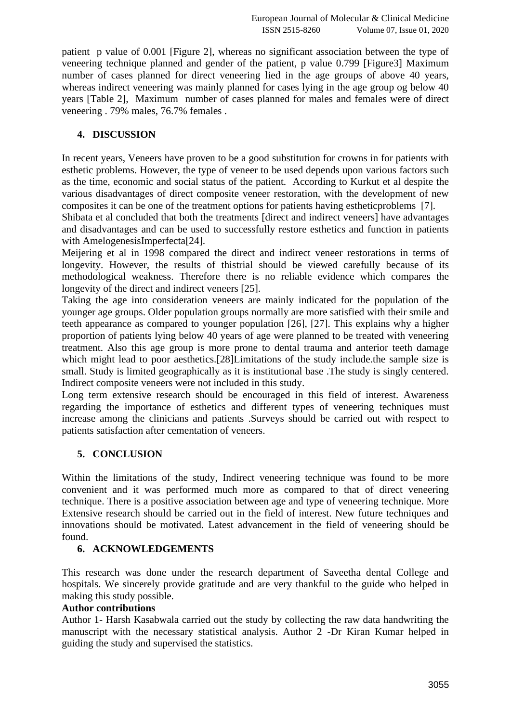patient p value of 0.001 [Figure 2], whereas no significant association between the type of veneering technique planned and gender of the patient, p value 0.799 [Figure3] Maximum number of cases planned for direct veneering lied in the age groups of above 40 years, whereas indirect veneering was mainly planned for cases lying in the age group og below 40 years [Table 2], Maximum number of cases planned for males and females were of direct veneering . 79% males, 76.7% females .

#### **4. DISCUSSION**

In recent years, Veneers have proven to be a good substitution for crowns in for patients with esthetic problems. However, the type of veneer to be used depends upon various factors such as the time, economic and social status of the patient. According to Kurkut et al despite the various disadvantages of direct composite veneer restoration, with the development of new composites it can be one of the treatment options for patients having estheticproblems [\[7\].](https://paperpile.com/c/D4z0yp/OwIj)

Shibata et al concluded that both the treatments [direct and indirect veneers] have advantages and disadvantages and can be used to successfully restore esthetics and function in patients with AmelogenesisImperfecta<sup>[24]</sup>.

Meijering et al in 1998 compared the direct and indirect veneer restorations in terms of longevity. However, the results of thistrial should be viewed carefully because of its methodological weakness. Therefore there is no reliable evidence which compares the longevity of the direct and indirect veneers [\[25\].](https://paperpile.com/c/D4z0yp/4GRw)

Taking the age into consideration veneers are mainly indicated for the population of the younger age groups. Older population groups normally are more satisfied with their smile and teeth appearance as compared to younger population [\[26\],](https://paperpile.com/c/D4z0yp/6yrZK) [\[27\].](https://paperpile.com/c/D4z0yp/8FLA) This explains why a higher proportion of patients lying below 40 years of age were planned to be treated with veneering treatment. Also this age group is more prone to dental trauma and anterior teeth damage which might lead to poor aesthetics[.\[28\]L](https://paperpile.com/c/D4z0yp/NiDe)imitations of the study include.the sample size is small. Study is limited geographically as it is institutional base .The study is singly centered. Indirect composite veneers were not included in this study.

Long term extensive research should be encouraged in this field of interest. Awareness regarding the importance of esthetics and different types of veneering techniques must increase among the clinicians and patients .Surveys should be carried out with respect to patients satisfaction after cementation of veneers.

## **5. CONCLUSION**

Within the limitations of the study, Indirect veneering technique was found to be more convenient and it was performed much more as compared to that of direct veneering technique. There is a positive association between age and type of veneering technique. More Extensive research should be carried out in the field of interest. New future techniques and innovations should be motivated. Latest advancement in the field of veneering should be found.

## **6. ACKNOWLEDGEMENTS**

This research was done under the research department of Saveetha dental College and hospitals. We sincerely provide gratitude and are very thankful to the guide who helped in making this study possible.

#### **Author contributions**

Author 1- Harsh Kasabwala carried out the study by collecting the raw data handwriting the manuscript with the necessary statistical analysis. Author 2 -Dr Kiran Kumar helped in guiding the study and supervised the statistics.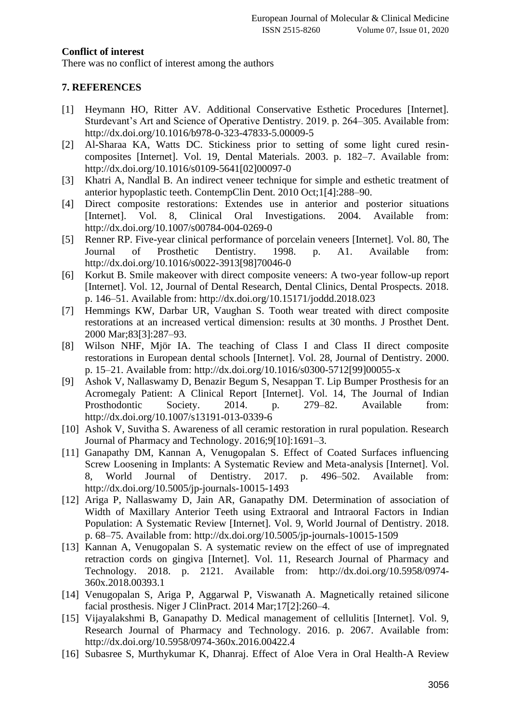#### **Conflict of interest**

There was no conflict of interest among the authors

## **7. REFERENCES**

- [1] [Heymann HO, Ritter AV. Additional Conservative Esthetic Procedures \[Internet\].](http://paperpile.com/b/D4z0yp/m218)  [Sturdevant's Art and Science of Operative Dentistry. 2019. p. 264–305. Available from:](http://paperpile.com/b/D4z0yp/m218)  <http://dx.doi.org/10.1016/b978-0-323-47833-5.00009-5>
- [2] [Al-Sharaa KA, Watts DC. Stickiness prior to setting of some light cured resin](http://paperpile.com/b/D4z0yp/RNRT)[composites \[Internet\]. Vol. 19, Dental Materials. 2003. p. 182–7. Available from:](http://paperpile.com/b/D4z0yp/RNRT)  [http://dx.doi.org/10.1016/s0109-5641\[02\]00097-0](http://dx.doi.org/10.1016/s0109-5641(02)00097-0)
- [3] [Khatri A, Nandlal B. An indirect veneer technique for simple and esthetic treatment of](http://paperpile.com/b/D4z0yp/mC7w)  [anterior hypoplastic teeth. ContempClin Dent. 2010 Oct;1\[4\]:288–90.](http://paperpile.com/b/D4z0yp/mC7w)
- [4] [Direct composite restorations: Extendes use in anterior and posterior situations](http://paperpile.com/b/D4z0yp/DhB4)  [\[Internet\]. Vol. 8, Clinical Oral Investigations. 2004. Available from:](http://paperpile.com/b/D4z0yp/DhB4)  <http://dx.doi.org/10.1007/s00784-004-0269-0>
- [5] [Renner RP. Five-year clinical performance of porcelain veneers \[Internet\]. Vol. 80, The](http://paperpile.com/b/D4z0yp/8Gvc)  [Journal of Prosthetic Dentistry. 1998. p. A1. Available from:](http://paperpile.com/b/D4z0yp/8Gvc)  [http://dx.doi.org/10.1016/s0022-3913\[98\]70046-0](http://dx.doi.org/10.1016/s0022-3913(98)70046-0)
- [6] [Korkut B. Smile makeover with direct composite veneers: A two-year follow-up report](http://paperpile.com/b/D4z0yp/RW0t)  [\[Internet\]. Vol. 12, Journal of Dental Research, Dental Clinics, Dental Prospects. 2018.](http://paperpile.com/b/D4z0yp/RW0t)  [p. 146–51. Available from:](http://paperpile.com/b/D4z0yp/RW0t) <http://dx.doi.org/10.15171/joddd.2018.023>
- [7] [Hemmings KW, Darbar UR, Vaughan S. Tooth wear treated with direct composite](http://paperpile.com/b/D4z0yp/OwIj)  [restorations at an increased vertical dimension: results at 30 months. J Prosthet Dent.](http://paperpile.com/b/D4z0yp/OwIj)  [2000 Mar;83\[3\]:287–93.](http://paperpile.com/b/D4z0yp/OwIj)
- [8] [Wilson NHF, Mjör IA. The teaching of Class I and Class II direct composite](http://paperpile.com/b/D4z0yp/XKQs)  [restorations in European dental schools \[Internet\]. Vol. 28, Journal of Dentistry. 2000.](http://paperpile.com/b/D4z0yp/XKQs)  [p. 15–21. Available from:](http://paperpile.com/b/D4z0yp/XKQs) [http://dx.doi.org/10.1016/s0300-5712\[99\]00055-x](http://dx.doi.org/10.1016/s0300-5712(99)00055-x)
- [9] [Ashok V, Nallaswamy D, Benazir Begum S, Nesappan T. Lip Bumper Prosthesis for an](http://paperpile.com/b/D4z0yp/Cqe5R)  [Acromegaly Patient: A Clinical Report \[Internet\]. Vol. 14, The Journal of Indian](http://paperpile.com/b/D4z0yp/Cqe5R)  [Prosthodontic Society. 2014. p. 279–82. Available from:](http://paperpile.com/b/D4z0yp/Cqe5R)  <http://dx.doi.org/10.1007/s13191-013-0339-6>
- [10] [Ashok V, Suvitha S. Awareness of all ceramic restoration in rural population. Research](http://paperpile.com/b/D4z0yp/b8pfW)  [Journal of Pharmacy and Technology. 2016;9\[10\]:1691–3.](http://paperpile.com/b/D4z0yp/b8pfW)
- [11] [Ganapathy DM, Kannan A, Venugopalan S. Effect of Coated Surfaces influencing](http://paperpile.com/b/D4z0yp/un2jy)  [Screw Loosening in Implants: A Systematic Review and Meta-analysis \[Internet\]. Vol.](http://paperpile.com/b/D4z0yp/un2jy)  [8, World Journal of Dentistry. 2017. p. 496–502. Available from:](http://paperpile.com/b/D4z0yp/un2jy)  <http://dx.doi.org/10.5005/jp-journals-10015-1493>
- [12] [Ariga P, Nallaswamy D, Jain AR, Ganapathy DM. Determination of association](http://paperpile.com/b/D4z0yp/7v9XT) [of](http://paperpile.com/b/D4z0yp/7v9XT)  [Width of Maxillary Anterior Teeth using Extraoral and Intraoral Factors in Indian](http://paperpile.com/b/D4z0yp/7v9XT)  [Population: A Systematic Review \[Internet\]. Vol. 9, World Journal of Dentistry. 2018.](http://paperpile.com/b/D4z0yp/7v9XT)  [p. 68–75. Available from:](http://paperpile.com/b/D4z0yp/7v9XT) <http://dx.doi.org/10.5005/jp-journals-10015-1509>
- [13] Kannan A, Venugopalan S. A systematic review on the effect of use of impregnated [retraction cords on gingiva \[Internet\]. Vol. 11, Research Journal of Pharmacy and](http://paperpile.com/b/D4z0yp/NDI68)  [Technology. 2018. p. 2121. Available from:](http://paperpile.com/b/D4z0yp/NDI68) [http://dx.doi.org/10.5958/0974-](http://dx.doi.org/10.5958/0974-360x.2018.00393.1) [360x.2018.00393.1](http://dx.doi.org/10.5958/0974-360x.2018.00393.1)
- [14] [Venugopalan S, Ariga P, Aggarwal P, Viswanath A. Magnetically retained silicone](http://paperpile.com/b/D4z0yp/T6Zlx)  [facial prosthesis. Niger J ClinPract. 2014 Mar;17\[2\]:260–4.](http://paperpile.com/b/D4z0yp/T6Zlx)
- [15] [Vijayalakshmi B, Ganapathy D. Medical management of cellulitis \[Internet\]. Vol. 9,](http://paperpile.com/b/D4z0yp/XLsBe)  [Research Journal of Pharmacy and Technology. 2016. p. 2067. Available from:](http://paperpile.com/b/D4z0yp/XLsBe)  <http://dx.doi.org/10.5958/0974-360x.2016.00422.4>
- [16] [Subasree S, Murthykumar K, Dhanraj. Effect of Aloe Vera in Oral Health-A Review](http://paperpile.com/b/D4z0yp/LOcZf)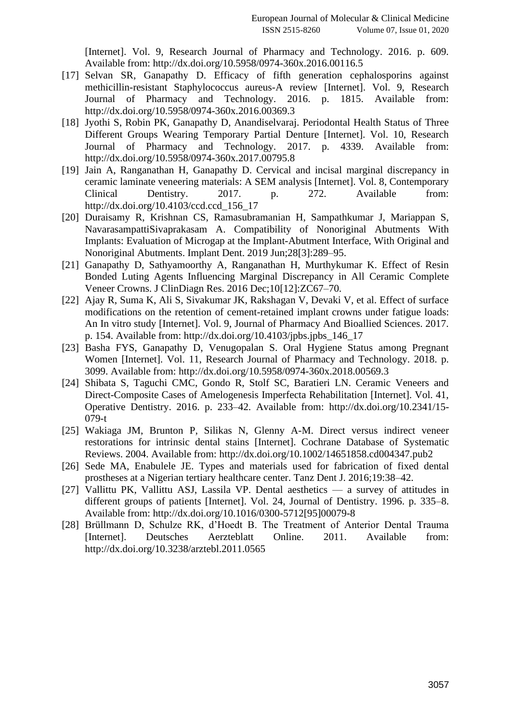[\[Internet\]. Vol. 9, Research Journal of Pharmacy and Technology. 2016. p. 609.](http://paperpile.com/b/D4z0yp/LOcZf)  [Available from:](http://paperpile.com/b/D4z0yp/LOcZf) <http://dx.doi.org/10.5958/0974-360x.2016.00116.5>

- [17] [Selvan SR, Ganapathy D. Efficacy of fifth generation cephalosporins against](http://paperpile.com/b/D4z0yp/BM0io)  [methicillin-resistant Staphylococcus aureus-A review \[Internet\]. Vol. 9, Research](http://paperpile.com/b/D4z0yp/BM0io)  [Journal of Pharmacy and Technology. 2016. p. 1815. Available from:](http://paperpile.com/b/D4z0yp/BM0io)  <http://dx.doi.org/10.5958/0974-360x.2016.00369.3>
- [18] [Jyothi S, Robin PK, Ganapathy D, Anandiselvaraj. Periodontal Health Status of Three](http://paperpile.com/b/D4z0yp/MpU3E)  [Different Groups Wearing Temporary Partial Denture \[Internet\]. Vol. 10, Research](http://paperpile.com/b/D4z0yp/MpU3E)  [Journal of Pharmacy and Technology. 2017. p. 4339. Available from:](http://paperpile.com/b/D4z0yp/MpU3E)  <http://dx.doi.org/10.5958/0974-360x.2017.00795.8>
- [19] [Jain A, Ranganathan H, Ganapathy D. Cervical and incisal marginal discrepancy in](http://paperpile.com/b/D4z0yp/eyZTn)  [ceramic laminate veneering materials: A SEM analysis \[Internet\]. Vol. 8, Contemporary](http://paperpile.com/b/D4z0yp/eyZTn)  [Clinical Dentistry. 2017. p. 272. Available from:](http://paperpile.com/b/D4z0yp/eyZTn)  [http://dx.doi.org/10.4103/ccd.ccd\\_156\\_17](http://dx.doi.org/10.4103/ccd.ccd_156_17)
- [20] [Duraisamy R, Krishnan CS, Ramasubramanian H, Sampathkumar J, Mariappan S,](http://paperpile.com/b/D4z0yp/OHerd)  [NavarasampattiSivaprakasam A. Compatibility of Nonoriginal Abutments With](http://paperpile.com/b/D4z0yp/OHerd)  [Implants: Evaluation of Microgap at the Implant-Abutment Interface, With Original and](http://paperpile.com/b/D4z0yp/OHerd)  [Nonoriginal Abutments. Implant Dent. 2019 Jun;28\[3\]:289–95.](http://paperpile.com/b/D4z0yp/OHerd)
- [21] [Ganapathy D, Sathyamoorthy A, Ranganathan H, Murthykumar K. Effect of Resin](http://paperpile.com/b/D4z0yp/3FRxk)  [Bonded Luting Agents Influencing Marginal Discrepancy in All Ceramic Complete](http://paperpile.com/b/D4z0yp/3FRxk)  [Veneer Crowns. J ClinDiagn Res. 2016 Dec;10\[12\]:ZC67–70.](http://paperpile.com/b/D4z0yp/3FRxk)
- [22] [Ajay R, Suma K, Ali S, Sivakumar JK, Rakshagan V, Devaki V, et al. Effect of surface](http://paperpile.com/b/D4z0yp/IxDT)  [modifications on the retention of cement-retained implant crowns under fatigue loads:](http://paperpile.com/b/D4z0yp/IxDT)  [An In vitro study \[Internet\]. Vol. 9, Journal of Pharmacy And Bioallied Sciences. 2017.](http://paperpile.com/b/D4z0yp/IxDT)  [p. 154. Available from:](http://paperpile.com/b/D4z0yp/IxDT) http://dx.doi.org/10.4103/jpbs.jpbs  $146$  17
- [23] [Basha FYS, Ganapathy D, Venugopalan S. Oral Hygiene Status among Pregnant](http://paperpile.com/b/D4z0yp/a9AIj)  [Women \[Internet\]. Vol. 11, Research Journal of Pharmacy and Technology. 2018. p.](http://paperpile.com/b/D4z0yp/a9AIj)  [3099. Available from:](http://paperpile.com/b/D4z0yp/a9AIj) <http://dx.doi.org/10.5958/0974-360x.2018.00569.3>
- [24] [Shibata S, Taguchi CMC, Gondo R, Stolf SC, Baratieri LN. Ceramic Veneers and](http://paperpile.com/b/D4z0yp/BUdH)  [Direct-Composite Cases of Amelogenesis Imperfecta Rehabilitation \[Internet\]. Vol. 41,](http://paperpile.com/b/D4z0yp/BUdH)  [Operative Dentistry. 2016. p. 233–42. Available from:](http://paperpile.com/b/D4z0yp/BUdH) [http://dx.doi.org/10.2341/15-](http://dx.doi.org/10.2341/15-079-t) [079-t](http://dx.doi.org/10.2341/15-079-t)
- [25] [Wakiaga JM, Brunton P, Silikas N, Glenny A-M. Direct versus indirect veneer](http://paperpile.com/b/D4z0yp/4GRw)  [restorations for intrinsic dental stains \[Internet\]. Cochrane Database of Systematic](http://paperpile.com/b/D4z0yp/4GRw)  [Reviews. 2004. Available from:](http://paperpile.com/b/D4z0yp/4GRw) <http://dx.doi.org/10.1002/14651858.cd004347.pub2>
- [26] [Sede MA, Enabulele JE. Types and materials used for fabrication of fixed dental](http://paperpile.com/b/D4z0yp/6yrZK)  [prostheses at a Nigerian tertiary healthcare center. Tanz Dent J. 2016;19:38–42.](http://paperpile.com/b/D4z0yp/6yrZK)
- [27] [Vallittu PK, Vallittu ASJ, Lassila VP. Dental aesthetics —](http://paperpile.com/b/D4z0yp/8FLA) a survey of attitudes in [different groups of patients \[Internet\]. Vol. 24, Journal of Dentistry. 1996. p. 335–8.](http://paperpile.com/b/D4z0yp/8FLA)  [Available from:](http://paperpile.com/b/D4z0yp/8FLA) [http://dx.doi.org/10.1016/0300-5712\[95\]00079-8](http://dx.doi.org/10.1016/0300-5712(95)00079-8)
- [28] [Brüllmann D, Schulze RK, d'Hoedt B. The Treatment of Anterior Dental Trauma](http://paperpile.com/b/D4z0yp/NiDe)  [\[Internet\]. Deutsches Aerzteblatt Online. 2011. Available from:](http://paperpile.com/b/D4z0yp/NiDe)  <http://dx.doi.org/10.3238/arztebl.2011.0565>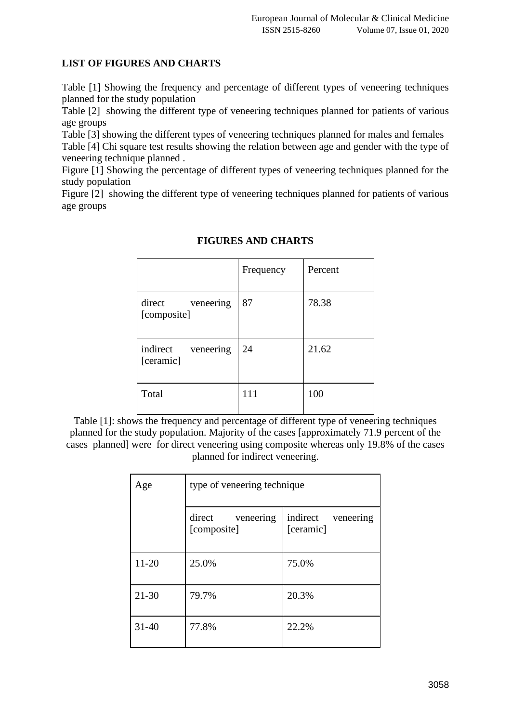# **LIST OF FIGURES AND CHARTS**

Table [1] Showing the frequency and percentage of different types of veneering techniques planned for the study population

Table [2] showing the different type of veneering techniques planned for patients of various age groups

Table [3] showing the different types of veneering techniques planned for males and females

Table [4] Chi square test results showing the relation between age and gender with the type of veneering technique planned .

Figure [1] Showing the percentage of different types of veneering techniques planned for the study population

Figure [2] showing the different type of veneering techniques planned for patients of various age groups

|                                    | Frequency | Percent |
|------------------------------------|-----------|---------|
| direct<br>veneering<br>[composite] | 87        | 78.38   |
| indirect<br>veneering<br>[ceramic] | 24        | 21.62   |
| Total                              | 111       | 100     |

# **FIGURES AND CHARTS**

Table [1]: shows the frequency and percentage of different type of veneering techniques planned for the study population. Majority of the cases [approximately 71.9 percent of the cases planned] were for direct veneering using composite whereas only 19.8% of the cases planned for indirect veneering.

| Age       | type of veneering technique        |                                    |  |
|-----------|------------------------------------|------------------------------------|--|
|           | direct<br>veneering<br>[composite] | indirect<br>veneering<br>[ceramic] |  |
| $11 - 20$ | 25.0%                              | 75.0%                              |  |
| $21 - 30$ | 79.7%                              | 20.3%                              |  |
| $31 - 40$ | 77.8%                              | 22.2%                              |  |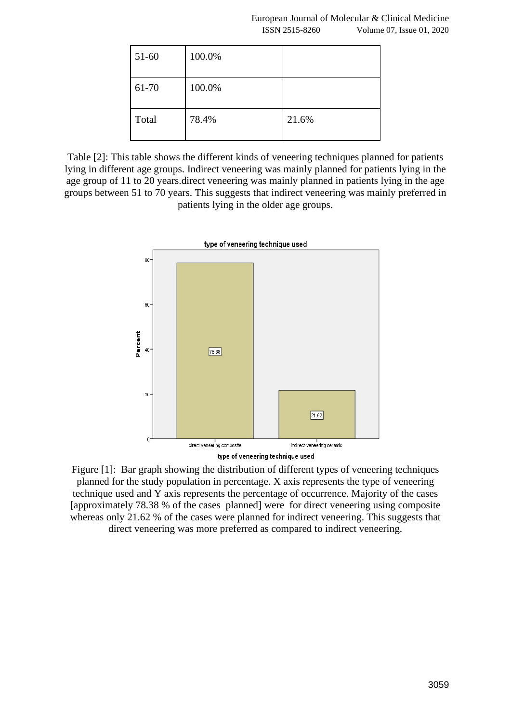| 51-60 | 100.0% |       |
|-------|--------|-------|
| 61-70 | 100.0% |       |
| Total | 78.4%  | 21.6% |

Table [2]: This table shows the different kinds of veneering techniques planned for patients lying in different age groups. Indirect veneering was mainly planned for patients lying in the age group of 11 to 20 years.direct veneering was mainly planned in patients lying in the age groups between 51 to 70 years. This suggests that indirect veneering was mainly preferred in patients lying in the older age groups.



Figure [1]: Bar graph showing the distribution of different types of veneering techniques planned for the study population in percentage. X axis represents the type of veneering technique used and Y axis represents the percentage of occurrence. Majority of the cases [approximately 78.38 % of the cases planned] were for direct veneering using composite whereas only 21.62 % of the cases were planned for indirect veneering. This suggests that direct veneering was more preferred as compared to indirect veneering.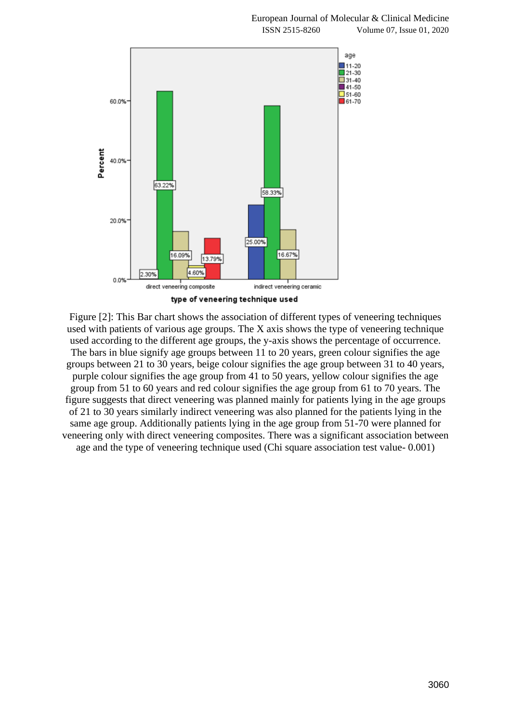



Figure [2]: This Bar chart shows the association of different types of veneering techniques used with patients of various age groups. The X axis shows the type of veneering technique used according to the different age groups, the y-axis shows the percentage of occurrence. The bars in blue signify age groups between 11 to 20 years, green colour signifies the age groups between 21 to 30 years, beige colour signifies the age group between 31 to 40 years, purple colour signifies the age group from 41 to 50 years, yellow colour signifies the age group from 51 to 60 years and red colour signifies the age group from 61 to 70 years. The figure suggests that direct veneering was planned mainly for patients lying in the age groups of 21 to 30 years similarly indirect veneering was also planned for the patients lying in the same age group. Additionally patients lying in the age group from 51-70 were planned for veneering only with direct veneering composites. There was a significant association between age and the type of veneering technique used (Chi square association test value- 0.001)